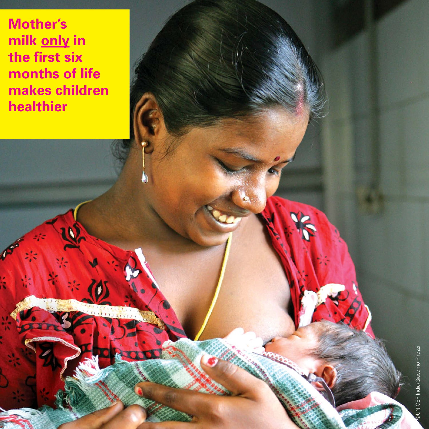**Mother's milk only in the first six months of life makes children healthier**